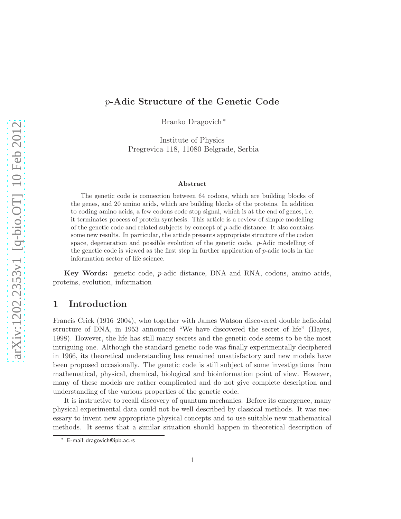# p-Adic Structure of the Genetic Code

Branko Dragovich <sup>∗</sup>

Institute of Physics Pregrevica 118, 11080 Belgrade, Serbia

#### Abstract

The genetic code is connection between 64 codons, which are building blocks of the genes, and 20 amino acids, which are building blocks of the proteins. In addition to coding amino acids, a few codons code stop signal, which is at the end of genes, i.e. it terminates process of protein synthesis. This article is a review of simple modelling of the genetic code and related subjects by concept of  $p$ -adic distance. It also contains some new results. In particular, the article presents appropriate structure of the codon space, degeneration and possible evolution of the genetic code. p-Adic modelling of the genetic code is viewed as the first step in further application of p-adic tools in the information sector of life science.

Key Words: genetic code, p-adic distance, DNA and RNA, codons, amino acids, proteins, evolution, information

#### 1 Introduction

Francis Crick (1916–2004), who together with James Watson discovered double helicoidal structure of DNA, in 1953 announced "We have discovered the secret of life" (Hayes, 1998). However, the life has still many secrets and the genetic code seems to be the most intriguing one. Although the standard genetic code was finally experimentally deciphered in 1966, its theoretical understanding has remained unsatisfactory and new models have been proposed occasionally. The genetic code is still subject of some investigations from mathematical, physical, chemical, biological and bioinformation point of view. However, many of these models are rather complicated and do not give complete description and understanding of the various properties of the genetic code.

It is instructive to recall discovery of quantum mechanics. Before its emergence, many physical experimental data could not be well described by classical methods. It was necessary to invent new appropriate physical concepts and to use suitable new mathematical methods. It seems that a similar situation should happen in theoretical description of

<sup>∗</sup> E-mail: dragovich@ipb.ac.rs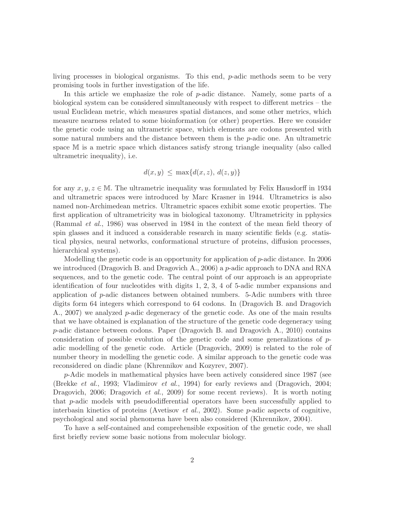living processes in biological organisms. To this end, p-adic methods seem to be very promising tools in further investigation of the life.

In this article we emphasize the role of  $p$ -adic distance. Namely, some parts of a biological system can be considered simultaneously with respect to different metrics – the usual Euclidean metric, which measures spatial distances, and some other metrics, which measure nearness related to some bioinformation (or other) properties. Here we consider the genetic code using an ultrametric space, which elements are codons presented with some natural numbers and the distance between them is the p-adic one. An ultrametric space M is a metric space which distances satisfy strong triangle inequality (also called ultrametric inequality), i.e.

$$
d(x,y) \le \max\{d(x,z), d(z,y)\}
$$

for any  $x, y, z \in \mathbb{M}$ . The ultrametric inequality was formulated by Felix Hausdorff in 1934 and ultrametric spaces were introduced by Marc Krasner in 1944. Ultrametrics is also named non-Archimedean metrics. Ultrametric spaces exhibit some exotic properties. The first application of ultrametricity was in biological taxonomy. Ultrametricity in pphysics (Rammal et al., 1986) was observed in 1984 in the context of the mean field theory of spin glasses and it induced a considerable research in many scientific fields (e.g. statistical physics, neural networks, conformational structure of proteins, diffusion processes, hierarchical systems).

Modelling the genetic code is an opportunity for application of  $p$ -adic distance. In 2006 we introduced (Dragovich B. and Dragovich A., 2006) a p-adic approach to DNA and RNA sequences, and to the genetic code. The central point of our approach is an appropriate identification of four nucleotides with digits 1, 2, 3, 4 of 5-adic number expansions and application of  $p$ -adic distances between obtained numbers. 5-Adic numbers with three digits form 64 integers which correspond to 64 codons. In (Dragovich B. and Dragovich A., 2007) we analyzed p-adic degeneracy of the genetic code. As one of the main results that we have obtained is explanation of the structure of the genetic code degeneracy using p-adic distance between codons. Paper (Dragovich B. and Dragovich A., 2010) contains consideration of possible evolution of the genetic code and some generalizations of  $p$ adic modelling of the genetic code. Article (Dragovich, 2009) is related to the role of number theory in modelling the genetic code. A similar approach to the genetic code was reconsidered on diadic plane (Khrennikov and Kozyrev, 2007).

p-Adic models in mathematical physics have been actively considered since 1987 (see (Brekke et al., 1993; Vladimirov et al., 1994) for early reviews and (Dragovich, 2004; Dragovich, 2006; Dragovich *et al.*, 2009) for some recent reviews). It is worth noting that p-adic models with pseudodifferential operators have been successfully applied to interbasin kinetics of proteins (Avetisov et al., 2002). Some  $p$ -adic aspects of cognitive, psychological and social phenomena have been also considered (Khrennikov, 2004).

To have a self-contained and comprehensible exposition of the genetic code, we shall first briefly review some basic notions from molecular biology.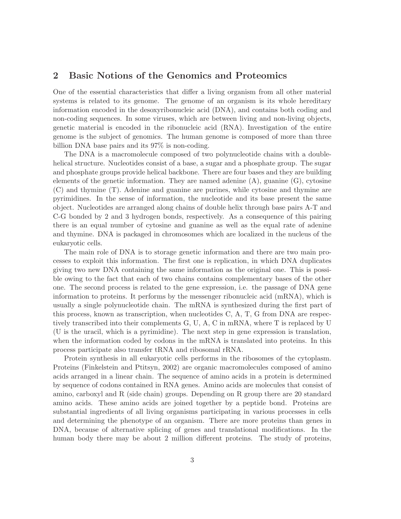#### 2 Basic Notions of the Genomics and Proteomics

One of the essential characteristics that differ a living organism from all other material systems is related to its genome. The genome of an organism is its whole hereditary information encoded in the desoxyribonucleic acid (DNA), and contains both coding and non-coding sequences. In some viruses, which are between living and non-living objects, genetic material is encoded in the ribonucleic acid (RNA). Investigation of the entire genome is the subject of genomics. The human genome is composed of more than three billion DNA base pairs and its 97% is non-coding.

The DNA is a macromolecule composed of two polynucleotide chains with a doublehelical structure. Nucleotides consist of a base, a sugar and a phosphate group. The sugar and phosphate groups provide helical backbone. There are four bases and they are building elements of the genetic information. They are named adenine  $(A)$ , guanine  $(G)$ , cytosine (C) and thymine (T). Adenine and guanine are purines, while cytosine and thymine are pyrimidines. In the sense of information, the nucleotide and its base present the same object. Nucleotides are arranged along chains of double helix through base pairs A-T and C-G bonded by 2 and 3 hydrogen bonds, respectively. As a consequence of this pairing there is an equal number of cytosine and guanine as well as the equal rate of adenine and thymine. DNA is packaged in chromosomes which are localized in the nucleus of the eukaryotic cells.

The main role of DNA is to storage genetic information and there are two main processes to exploit this information. The first one is replication, in which DNA duplicates giving two new DNA containing the same information as the original one. This is possible owing to the fact that each of two chains contains complementary bases of the other one. The second process is related to the gene expression, i.e. the passage of DNA gene information to proteins. It performs by the messenger ribonucleic acid (mRNA), which is usually a single polynucleotide chain. The mRNA is synthesized during the first part of this process, known as transcription, when nucleotides C, A, T, G from DNA are respectively transcribed into their complements G, U, A, C in mRNA, where T is replaced by U (U is the uracil, which is a pyrimidine). The next step in gene expression is translation, when the information coded by codons in the mRNA is translated into proteins. In this process participate also transfer tRNA and ribosomal rRNA.

Protein synthesis in all eukaryotic cells performs in the ribosomes of the cytoplasm. Proteins (Finkelstein and Ptitsyn, 2002) are organic macromolecules composed of amino acids arranged in a linear chain. The sequence of amino acids in a protein is determined by sequence of codons contained in RNA genes. Amino acids are molecules that consist of amino, carboxyl and R (side chain) groups. Depending on R group there are 20 standard amino acids. These amino acids are joined together by a peptide bond. Proteins are substantial ingredients of all living organisms participating in various processes in cells and determining the phenotype of an organism. There are more proteins than genes in DNA, because of alternative splicing of genes and translational modifications. In the human body there may be about 2 million different proteins. The study of proteins,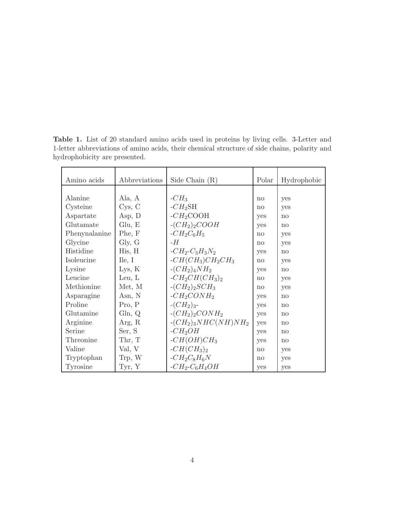| Amino acids   | Abbreviations       | Side Chain $(R)$    | Polar        | Hydrophobic  |
|---------------|---------------------|---------------------|--------------|--------------|
|               |                     |                     |              |              |
| Alanine       | Ala, A              | $-CH3$              | $\mathbf{n}$ | yes          |
| Cysteine      | C <sub>ys</sub> , C | $-CH_2SH$           | $\mathbf{n}$ | yes          |
| Aspartate     | Asp, D              | $-CH2COOH$          | yes          | $\mathbf{n}$ |
| Glutamate     | Glu, E              | $-(CH2)2 COOH$      | yes          | $\mathbf{n}$ |
| Phenynalanine | Phe, F              | $-CH_2C_6H_5$       | $\mathbf{n}$ | yes          |
| Glycine       | Gly, G              | - $H$               | no           | yes          |
| Histidine     | His, H              | $-CH_2-C_3H_3N_2$   | yes          | no           |
| Isoleucine    | $\text{I}$ le, I    | $-CH(CH_3)CH_2CH_3$ | $\mathbf{n}$ | yes          |
| Lysine        | Lys, K              | $-(CH_2)_4NH_2$     | yes          | no           |
| Leucine       | Leu, $L$            | $-CH_2CH(CH_3)_2$   | $\mathbf{n}$ | yes          |
| Methionine    | Met, M              | $-(CH_2)_2SCH_3$    | $\mathbf{n}$ | yes          |
| Asparagine    | Asn, N              | $-CH2CONH2$         | yes          | no           |
| Proline       | Pro, P              | $-(CH2)3$ -         | yes          | $\mathbf{n}$ |
| Glutamine     | Gln, Q              | $-(CH_2)_2CONH_2$   | yes          | no           |
| Arginine      | Arg, R              | $-(CH2)3NHC(NH)NH2$ | yes          | $\mathbf{n}$ |
| Serine        | Ser, S              | $-CH2OH$            | yes          | $\mathbf{n}$ |
| Threonine     | Thr, T              | $-CH(OH)CH3$        | yes          | $\mathbf{n}$ |
| Valine        | Val, V              | $-CH(CH_3)_2$       | $\mathbf{n}$ | yes          |
| Tryptophan    | Trp, W              | $-CH_2C_8H_6N$      | $\mathbf{n}$ | yes          |
| Tyrosine      | Tyr, Y              | $-CH_2-C_6H_4OH$    | yes          | yes          |

Table 1. List of 20 standard amino acids used in proteins by living cells. 3-Letter and 1-letter abbreviations of amino acids, their chemical structure of side chains, polarity and hydrophobicity are presented.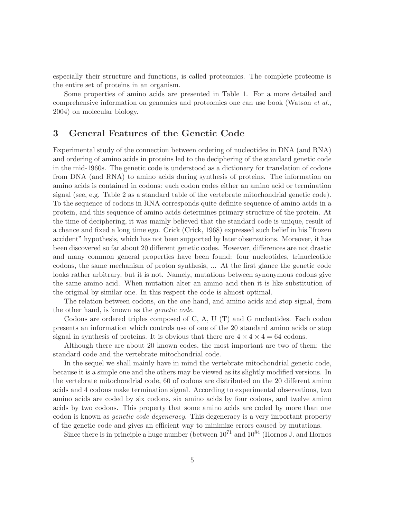especially their structure and functions, is called proteomics. The complete proteome is the entire set of proteins in an organism.

Some properties of amino acids are presented in Table 1. For a more detailed and comprehensive information on genomics and proteomics one can use book (Watson et al., 2004) on molecular biology.

# 3 General Features of the Genetic Code

Experimental study of the connection between ordering of nucleotides in DNA (and RNA) and ordering of amino acids in proteins led to the deciphering of the standard genetic code in the mid-1960s. The genetic code is understood as a dictionary for translation of codons from DNA (and RNA) to amino acids during synthesis of proteins. The information on amino acids is contained in codons: each codon codes either an amino acid or termination signal (see, e.g. Table 2 as a standard table of the vertebrate mitochondrial genetic code). To the sequence of codons in RNA corresponds quite definite sequence of amino acids in a protein, and this sequence of amino acids determines primary structure of the protein. At the time of deciphering, it was mainly believed that the standard code is unique, result of a chance and fixed a long time ego. Crick (Crick, 1968) expressed such belief in his "frozen accident" hypothesis, which has not been supported by later observations. Moreover, it has been discovered so far about 20 different genetic codes. However, differences are not drastic and many common general properties have been found: four nucleotides, trinucleotide codons, the same mechanism of proton synthesis, ... At the first glance the genetic code looks rather arbitrary, but it is not. Namely, mutations between synonymous codons give the same amino acid. When mutation alter an amino acid then it is like substitution of the original by similar one. In this respect the code is almost optimal.

The relation between codons, on the one hand, and amino acids and stop signal, from the other hand, is known as the genetic code.

Codons are ordered triples composed of C, A, U (T) and G nucleotides. Each codon presents an information which controls use of one of the 20 standard amino acids or stop signal in synthesis of proteins. It is obvious that there are  $4 \times 4 \times 4 = 64$  codons.

Although there are about 20 known codes, the most important are two of them: the standard code and the vertebrate mitochondrial code.

In the sequel we shall mainly have in mind the vertebrate mitochondrial genetic code, because it is a simple one and the others may be viewed as its slightly modified versions. In the vertebrate mitochondrial code, 60 of codons are distributed on the 20 different amino acids and 4 codons make termination signal. According to experimental observations, two amino acids are coded by six codons, six amino acids by four codons, and twelve amino acids by two codons. This property that some amino acids are coded by more than one codon is known as genetic code degeneracy. This degeneracy is a very important property of the genetic code and gives an efficient way to minimize errors caused by mutations.

Since there is in principle a huge number (between  $10^{71}$  and  $10^{84}$  (Hornos J. and Hornos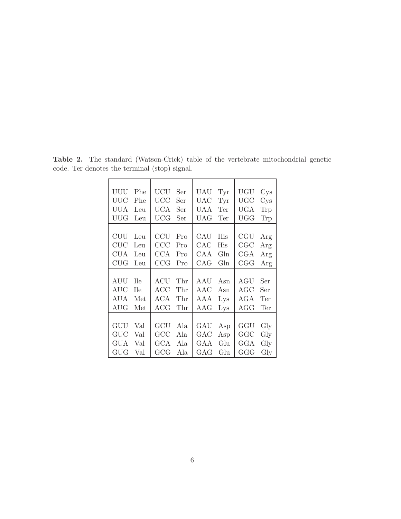| UUU         | <b>UCU</b> | UAU               | <b>UGU</b>        |
|-------------|------------|-------------------|-------------------|
| Phe         | Ser        | Tyr               | Cys               |
| UUC         | UCC        | $_{\mathrm{UAC}}$ | $_{\mathrm{UGC}}$ |
| Phe         | Ser        | Tyr               | Cys               |
| UUA         | UCA        | UAA               | UGA               |
| Leu         | Ser        | Ter               | Trp               |
| UUG         | UCG        | UAG               | UGG               |
| Leu         | Ser        | Ter               | Trp               |
|             |            |                   |                   |
| CUU         | <b>CCU</b> | CAU               | CGU               |
| Leu         | Pro        | His               | Arg               |
| <b>CUC</b>  | $\rm{CCC}$ | ${\rm CAC}$       | CGC               |
| Leu         | Pro        | His               | Arg               |
| <b>CUA</b>  | <b>CCA</b> | CAA               | CGA               |
| Leu         | Pro        | Gln               | Arg               |
| CUG         | CCG        | Gln               | CGG               |
| Leu         | Pro        | CAG               | Arg               |
|             |            |                   |                   |
|             |            |                   |                   |
| AUU         | $\rm ACU$  | AAU               | AGU               |
| <b>T</b> le | Thr        | Asn               | Ser               |
| <b>AUC</b>  | ACC        | ${\rm AAC}$       | $\rm{AGC}$        |
| <b>T</b> le | Thr        | Asn               | Ser               |
| AUA         | <b>ACA</b> | AAA               | AGA               |
| Met         | Thr        | L <sub>YS</sub>   | Ter               |
| $\rm{AUG}$  | $\rm{ACG}$ | $\rm{AAG}$        | AGG               |
| Met         | Thr        | L <sub>YS</sub>   | Ter               |
|             |            |                   |                   |
| GUU         | GCU        | GAU               | GGU               |
| Val         | Ala        | Asp               | Gly               |
| $\rm GUC$   | GCC        | $_{\rm GAC}$      | GGC               |
| Val         | Ala        | Asp               | Gly               |
| GUA         | GCA        | GAA               | GGA               |
| Val         | Ala        | Glu               | $\mathrm{Gly}$    |

Table 2. The standard (Watson-Crick) table of the vertebrate mitochondrial genetic code. Ter denotes the terminal (stop) signal.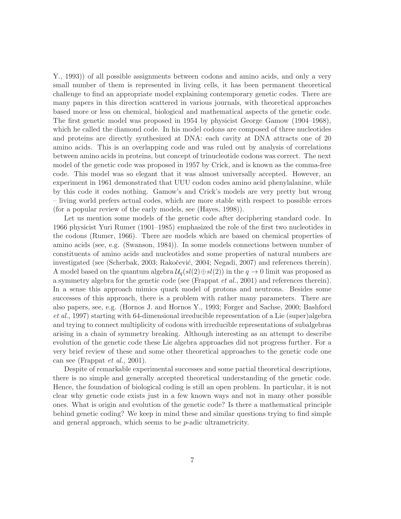Y., 1993)) of all possible assignments between codons and amino acids, and only a very small number of them is represented in living cells, it has been permanent theoretical challenge to find an appropriate model explaining contemporary genetic codes. There are many papers in this direction scattered in various journals, with theoretical approaches based more or less on chemical, biological and mathematical aspects of the genetic code. The first genetic model was proposed in 1954 by physicist George Gamow (1904–1968), which he called the diamond code. In his model codons are composed of three nucleotides and proteins are directly synthesized at DNA: each cavity at DNA attracts one of 20 amino acids. This is an overlapping code and was ruled out by analysis of correlations between amino acids in proteins, but concept of trinucleotide codons was correct. The next model of the genetic code was proposed in 1957 by Crick, and is known as the comma-free code. This model was so elegant that it was almost universally accepted. However, an experiment in 1961 demonstrated that UUU codon codes amino acid phenylalanine, while by this code it codes nothing. Gamow's and Crick's models are very pretty but wrong – living world prefers actual codes, which are more stable with respect to possible errors (for a popular review of the early models, see (Hayes, 1998)).

Let us mention some models of the genetic code after deciphering standard code. In 1966 physicist Yuri Rumer (1901–1985) emphasized the role of the first two nucleotides in the codons (Rumer, 1966). There are models which are based on chemical properties of amino acids (see, e.g. (Swanson, 1984)). In some models connections between number of constituents of amino acids and nucleotides and some properties of natural numbers are investigated (see (Scherbak, 2003; Rakočević, 2004; Negadi, 2007) and references therein). A model based on the quantum algebra  $\mathcal{U}_q(sl(2) \oplus sl(2))$  in the  $q \to 0$  limit was proposed as a symmetry algebra for the genetic code (see (Frappat et al., 2001) and references therein). In a sense this approach mimics quark model of protons and neutrons. Besides some successes of this approach, there is a problem with rather many parameters. There are also papers, see, e.g. (Hornos J. and Hornos Y., 1993; Forger and Sachse, 2000; Bashford et al., 1997) starting with 64-dimensional irreducible representation of a Lie (super)algebra and trying to connect multiplicity of codons with irreducible representations of subalgebras arising in a chain of symmetry breaking. Although interesting as an attempt to describe evolution of the genetic code these Lie algebra approaches did not progress further. For a very brief review of these and some other theoretical approaches to the genetic code one can see (Frappat et al., 2001).

Despite of remarkable experimental successes and some partial theoretical descriptions, there is no simple and generally accepted theoretical understanding of the genetic code. Hence, the foundation of biological coding is still an open problem. In particular, it is not clear why genetic code exists just in a few known ways and not in many other possible ones. What is origin and evolution of the genetic code? Is there a mathematical principle behind genetic coding? We keep in mind these and similar questions trying to find simple and general approach, which seems to be p-adic ultrametricity.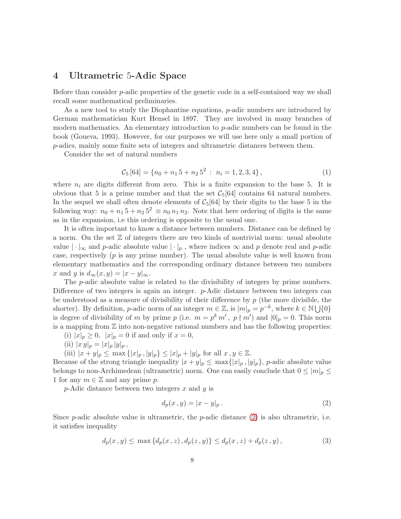#### 4 Ultrametric 5-Adic Space

Before than consider p-adic properties of the genetic code in a self-contained way we shall recall some mathematical preliminaries.

As a new tool to study the Diophantine equations, p-adic numbers are introduced by German mathematician Kurt Hensel in 1897. They are involved in many branches of modern mathematics. An elementary introduction to p-adic numbers can be found in the book (Goueva, 1993). However, for our purposes we will use here only a small portion of p-adics, mainly some finite sets of integers and ultrametric distances between them.

Consider the set of natural numbers

$$
C_5[64] = \{n_0 + n_1 5 + n_2 5^2 : n_i = 1, 2, 3, 4\},\tag{1}
$$

where  $n_i$  are digits different from zero. This is a finite expansion to the base 5. It is obvious that 5 is a prime number and that the set  $C_5[64]$  contains 64 natural numbers. In the sequel we shall often denote elements of  $C_5[64]$  by their digits to the base 5 in the following way:  $n_0 + n_1 5 + n_2 5^2 \equiv n_0 n_1 n_2$ . Note that here ordering of digits is the same as in the expansion, i.e this ordering is opposite to the usual one.

It is often important to know a distance between numbers. Distance can be defined by a norm. On the set  $\mathbb Z$  of integers there are two kinds of nontrivial norm: usual absolute value  $|\cdot|_{\infty}$  and p-adic absolute value  $|\cdot|_p$ , where indices  $\infty$  and p denote real and p-adic case, respectively  $(p \text{ is any prime number})$ . The usual absolute value is well known from elementary mathematics and the corresponding ordinary distance between two numbers x and y is  $d_{\infty}(x, y) = |x - y|_{\infty}$ .

The p-adic absolute value is related to the divisibility of integers by prime numbers. Difference of two integers is again an integer. p-Adic distance between two integers can be understood as a measure of divisibility of their difference by p (the more divisible, the shorter). By definition, *p*-adic norm of an integer  $m \in \mathbb{Z}$ , is  $|m|_p = p^{-k}$ , where  $k \in \mathbb{N} \cup \{0\}$ is degree of divisibility of m by prime p (i.e.  $m = p^k m'$ ,  $p \nmid m'$ ) and  $|0|_p = 0$ . This norm is a mapping from  $Z$  into non-negative rational numbers and has the following properties:

- (i)  $|x|_p \ge 0$ ,  $|x|_p = 0$  if and only if  $x = 0$ ,
- (ii)  $|x y|_p = |x|_p |y|_p$ ,

(iii)  $|x + y|_p \le \max\{|x|_p, |y|_p\} \le |x|_p + |y|_p$  for all  $x, y \in \mathbb{Z}$ .

Because of the strong triangle inequality  $|x+y|_p \leq \max\{|x|_p, |y|_p\}$ , p-adic absolute value belongs to non-Archimedean (ultrametric) norm. One can easily conclude that  $0 \le |m|_p \le$ 1 for any  $m \in \mathbb{Z}$  and any prime p.

 $p$ -Adic distance between two integers x and y is

<span id="page-7-0"></span>
$$
d_p(x\,,y) = |x-y|_p\,. \tag{2}
$$

Since p-adic absolute value is ultrametric, the p-adic distance  $(2)$  is also ultrametric, i.e. it satisfies inequality

$$
d_p(x, y) \le \max\{d_p(x, z), d_p(z, y)\} \le d_p(x, z) + d_p(z, y), \tag{3}
$$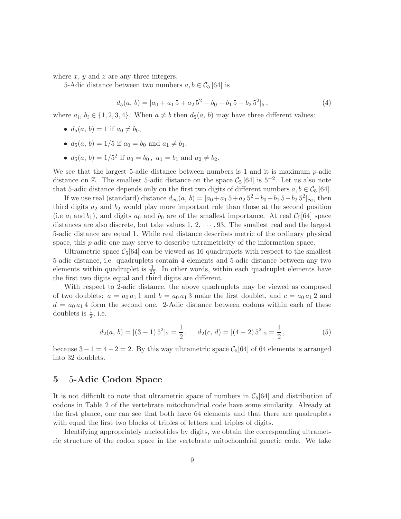where  $x, y$  and  $z$  are any three integers.

5-Adic distance between two numbers  $a, b \in C_5$  [64] is

$$
d_5(a, b) = |a_0 + a_1 5 + a_2 5^2 - b_0 - b_1 5 - b_2 5^2|_5,
$$
\n
$$
(4)
$$

where  $a_i, b_i \in \{1, 2, 3, 4\}$ . When  $a \neq b$  then  $d_5(a, b)$  may have three different values:

- $d_5(a, b) = 1$  if  $a_0 \neq b_0$ ,
- $d_5(a, b) = 1/5$  if  $a_0 = b_0$  and  $a_1 \neq b_1$ ,
- $d_5(a, b) = 1/5^2$  if  $a_0 = b_0$ ,  $a_1 = b_1$  and  $a_2 \neq b_2$ .

We see that the largest 5-adic distance between numbers is 1 and it is maximum  $p$ -adic distance on  $\mathbb{Z}$ . The smallest 5-adic distance on the space  $\mathcal{C}_5$  [64] is 5<sup>-2</sup>. Let us also note that 5-adic distance depends only on the first two digits of different numbers  $a, b \in C_5$  [64].

If we use real (standard) distance  $d_{\infty}(a, b) = |a_0 + a_1 5 + a_2 5^2 - b_0 - b_1 5 - b_2 5^2|_{\infty}$ , then third digits  $a_2$  and  $b_2$  would play more important role than those at the second position (i.e  $a_1$  and  $b_1$ ), and digits  $a_0$  and  $b_0$  are of the smallest importance. At real  $C_5[64]$  space distances are also discrete, but take values  $1, 2, \cdots, 93$ . The smallest real and the largest 5-adic distance are equal 1. While real distance describes metric of the ordinary physical space, this p-adic one may serve to describe ultrametricity of the information space.

Ultrametric space  $C_5[64]$  can be viewed as 16 quadruplets with respect to the smallest 5-adic distance, i.e. quadruplets contain 4 elements and 5-adic distance between any two elements within quadruplet is  $\frac{1}{25}$ . In other words, within each quadruplet elements have the first two digits equal and third digits are different.

With respect to 2-adic distance, the above quadruplets may be viewed as composed of two doublets:  $a = a_0 a_1 1$  and  $b = a_0 a_1 3$  make the first doublet, and  $c = a_0 a_1 2$  and  $d = a_0 a_1 4$  form the second one. 2-Adic distance between codons within each of these doublets is  $\frac{1}{2}$ , i.e.

$$
d_2(a, b) = |(3-1)5^2|_2 = \frac{1}{2}, \quad d_2(c, d) = |(4-2)5^2|_2 = \frac{1}{2},
$$
 (5)

because  $3-1=4-2=2$ . By this way ultrametric space  $C_5[64]$  of 64 elements is arranged into 32 doublets.

### 5 5-Adic Codon Space

It is not difficult to note that ultrametric space of numbers in  $C_5[64]$  and distribution of codons in Table 2 of the vertebrate mitochondrial code have some similarity. Already at the first glance, one can see that both have 64 elements and that there are quadruplets with equal the first two blocks of triples of letters and triples of digits.

Identifying appropriately nucleotides by digits, we obtain the corresponding ultrametric structure of the codon space in the vertebrate mitochondrial genetic code. We take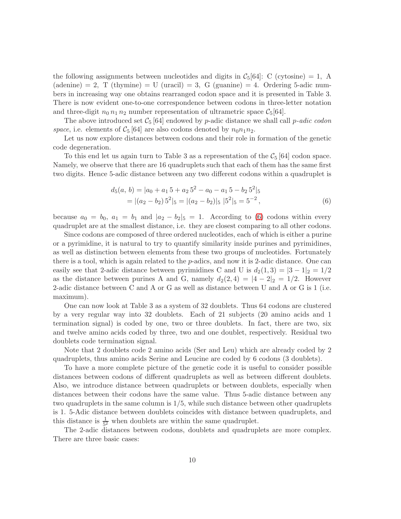the following assignments between nucleotides and digits in  $C_5[64]$ : C (cytosine) = 1, A  $(\text{adenine}) = 2$ , T  $(\text{thymine}) = U (\text{uracil}) = 3$ , G  $(\text{guanine}) = 4$ . Ordering 5-adic numbers in increasing way one obtains rearranged codon space and it is presented in Table 3. There is now evident one-to-one correspondence between codons in three-letter notation and three-digit  $n_0 n_1 n_2$  number representation of ultrametric space  $\mathcal{C}_5[64]$ .

The above introduced set  $C_5$  [64] endowed by p-adic distance we shall call p-adic codon space, i.e. elements of  $\mathcal{C}_5$  [64] are also codons denoted by  $n_0 n_1 n_2$ .

Let us now explore distances between codons and their role in formation of the genetic code degeneration.

To this end let us again turn to Table 3 as a representation of the  $\mathcal{C}_5$  [64] codon space. Namely, we observe that there are 16 quadruplets such that each of them has the same first two digits. Hence 5-adic distance between any two different codons within a quadruplet is

<span id="page-9-0"></span>
$$
d_5(a, b) = |a_0 + a_1 5 + a_2 5^2 - a_0 - a_1 5 - b_2 5^2|_5
$$
  
=  $|(a_2 - b_2) 5^2|_5 = |(a_2 - b_2)|_5 |5^2|_5 = 5^{-2}$ , (6)

because  $a_0 = b_0$ ,  $a_1 = b_1$  and  $|a_2 - b_2|_5 = 1$ . According to [\(6\)](#page-9-0) codons within every quadruplet are at the smallest distance, i.e. they are closest comparing to all other codons.

Since codons are composed of three ordered nucleotides, each of which is either a purine or a pyrimidine, it is natural to try to quantify similarity inside purines and pyrimidines, as well as distinction between elements from these two groups of nucleotides. Fortunately there is a tool, which is again related to the  $p$ -adics, and now it is 2-adic distance. One can easily see that 2-adic distance between pyrimidines C and U is  $d_2(1,3) = |3 - 1|_2 = 1/2$ as the distance between purines A and G, namely  $d_2(2, 4) = |4 - 2|_2 = 1/2$ . However 2-adic distance between C and A or G as well as distance between U and A or G is 1 (i.e. maximum).

One can now look at Table 3 as a system of 32 doublets. Thus 64 codons are clustered by a very regular way into 32 doublets. Each of 21 subjects (20 amino acids and 1 termination signal) is coded by one, two or three doublets. In fact, there are two, six and twelve amino acids coded by three, two and one doublet, respectively. Residual two doublets code termination signal.

Note that 2 doublets code 2 amino acids (Ser and Leu) which are already coded by 2 quadruplets, thus amino acids Serine and Leucine are coded by 6 codons (3 doublets).

To have a more complete picture of the genetic code it is useful to consider possible distances between codons of different quadruplets as well as between different doublets. Also, we introduce distance between quadruplets or between doublets, especially when distances between their codons have the same value. Thus 5-adic distance between any two quadruplets in the same column is 1/5, while such distance between other quadruplets is 1. 5-Adic distance between doublets coincides with distance between quadruplets, and this distance is  $\frac{1}{5^2}$  when doublets are within the same quadruplet.

The 2-adic distances between codons, doublets and quadruplets are more complex. There are three basic cases: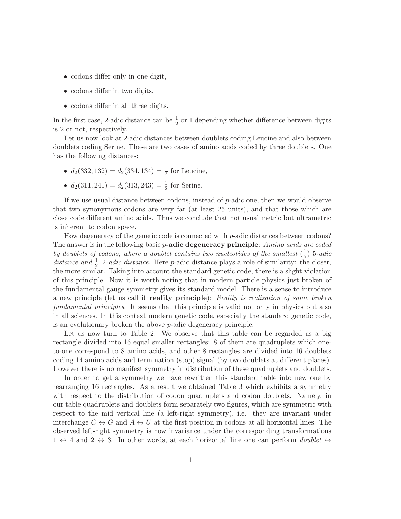- codons differ only in one digit,
- codons differ in two digits,
- codons differ in all three digits.

In the first case, 2-adic distance can be  $\frac{1}{2}$  or 1 depending whether difference between digits is 2 or not, respectively.

Let us now look at 2-adic distances between doublets coding Leucine and also between doublets coding Serine. These are two cases of amino acids coded by three doublets. One has the following distances:

- $d_2(332, 132) = d_2(334, 134) = \frac{1}{2}$  for Leucine,
- $d_2(311, 241) = d_2(313, 243) = \frac{1}{2}$  for Serine.

If we use usual distance between codons, instead of p-adic one, then we would observe that two synonymous codons are very far (at least 25 units), and that those which are close code different amino acids. Thus we conclude that not usual metric but ultrametric is inherent to codon space.

How degeneracy of the genetic code is connected with  $p$ -adic distances between codons? The answer is in the following basic p-adic degeneracy principle: Amino acids are coded by doublets of codons, where a doublet contains two nucleotides of the smallest  $(\frac{1}{5})$  $\frac{1}{5}$ ) 5-adic distance and  $\frac{1}{2}$  2-adic distance. Here p-adic distance plays a role of similarity: the closer, the more similar. Taking into account the standard genetic code, there is a slight violation of this principle. Now it is worth noting that in modern particle physics just broken of the fundamental gauge symmetry gives its standard model. There is a sense to introduce a new principle (let us call it **reality principle**): Reality is realization of some broken fundamental principles. It seems that this principle is valid not only in physics but also in all sciences. In this context modern genetic code, especially the standard genetic code, is an evolutionary broken the above p-adic degeneracy principle.

Let us now turn to Table 2. We observe that this table can be regarded as a big rectangle divided into 16 equal smaller rectangles: 8 of them are quadruplets which oneto-one correspond to 8 amino acids, and other 8 rectangles are divided into 16 doublets coding 14 amino acids and termination (stop) signal (by two doublets at different places). However there is no manifest symmetry in distribution of these quadruplets and doublets.

In order to get a symmetry we have rewritten this standard table into new one by rearranging 16 rectangles. As a result we obtained Table 3 which exhibits a symmetry with respect to the distribution of codon quadruplets and codon doublets. Namely, in our table quadruplets and doublets form separately two figures, which are symmetric with respect to the mid vertical line (a left-right symmetry), i.e. they are invariant under interchange  $C \leftrightarrow G$  and  $A \leftrightarrow U$  at the first position in codons at all horizontal lines. The observed left-right symmetry is now invariance under the corresponding transformations  $1 \leftrightarrow 4$  and  $2 \leftrightarrow 3$ . In other words, at each horizontal line one can perform *doublet*  $\leftrightarrow$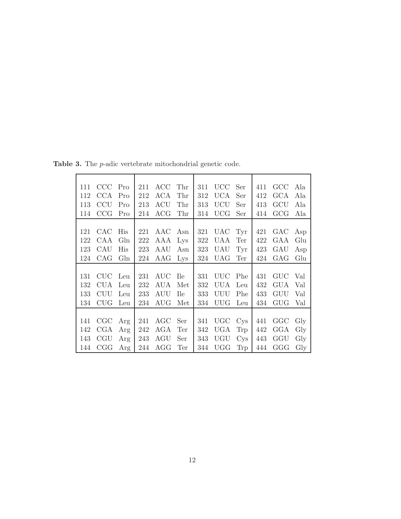| 111 | CCC          | Pro             | 211 | ACC        | Thr         | 311 | <b>UCC</b>   | Ser             | 411 | GCC        | Ala |
|-----|--------------|-----------------|-----|------------|-------------|-----|--------------|-----------------|-----|------------|-----|
| 112 | CCA          | Pro             | 212 | ACA        | Thr         | 312 | UCA          | Ser             | 412 | GCA        | Ala |
| 113 | CCU          | Pro             | 213 | ACU        | Thr         | 313 | UCU          | Ser             | 413 | GCU        | Ala |
| 114 | CCG          | Pro             | 214 | ${ACG}$    | Thr         | 314 | $_{\rm UCG}$ | Ser             | 414 | GCG        | Ala |
|     |              |                 |     |            |             |     |              |                 |     |            |     |
| 121 | CAC          | His             | 221 | AAC        | Asn         | 321 | <b>UAC</b>   | Tyr             | 421 | GAC        | Asp |
| 122 | CAA          | G <sub>ln</sub> | 222 | AAA        | Lys         | 322 | UAA          | Ter             | 422 | GAA        | Glu |
| 123 | CAU          | His             | 223 | AAU        | Asn         | 323 | UAU          | Tyr             | 423 | GAU        | Asp |
| 124 | CAG          | G <sub>ln</sub> | 224 | AAG        | Lys         | 324 | UAG          | Ter             | 424 | GAG        | Glu |
|     |              |                 |     |            |             |     |              |                 |     |            |     |
| 131 | CUC          | Leu             | 231 | AUC        | <b>T</b> le | 331 | UUC          | Phe             | 431 | GUC        | Val |
| 132 | CUA          | Leu             | 232 | AUA        | Met         | 332 | UUA          | Leu             | 432 | <b>GUA</b> | Val |
| 133 | <b>CUU</b>   | Leu             | 233 | AUU        | <b>Ile</b>  | 333 | UUU          | Phe             | 433 | GUU        | Val |
| 134 | <b>CUG</b>   | Leu             | 234 | AUG        | Met         | 334 | UUG          | Leu             | 434 | GUG        | Val |
|     |              |                 |     |            |             |     |              |                 |     |            |     |
| 141 | $\rm CGC$    | Arg             | 241 | AGC        | Ser         | 341 | <b>UGC</b>   | C <sub>ys</sub> | 441 | GGC        | Gly |
| 142 | $_{\rm CGA}$ | Arg             | 242 | <b>AGA</b> | Ter         | 342 | <b>UGA</b>   | <b>Trp</b>      | 442 | GGA        | Gly |
| 143 | CGU          | Arg             | 243 | $\rm{AGU}$ | Ser         | 343 | UGU          | C <sub>ys</sub> | 443 | GGU        | Gly |
| 144 | CGG          | Arg             | 244 | AGG        | Ter         | 344 | $_{\rm UGG}$ | Trp             | 444 | GGG        | Gly |

Table 3. The p-adic vertebrate mitochondrial genetic code.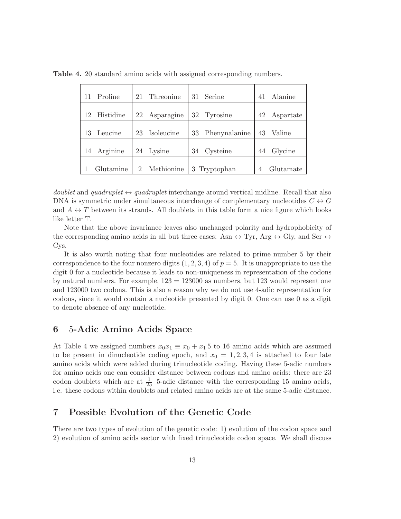| Proline   | Threonine<br>21                           | 31 Serine     | Alanine<br>41 |
|-----------|-------------------------------------------|---------------|---------------|
| Histidine | Asparagine                                | 32 Tyrosine   | 42            |
| 12        | 22                                        |               | Aspartate     |
| Leucine   | Isoleucine                                | Phenynalanine | Valine        |
| 13        | 23                                        | 33            | 43            |
| Arginine  | 24 Lysine                                 | Cysteine      | Glycine       |
| 14        |                                           | 34            | 44            |
| Glutamine | Methionine<br>$\mathcal{D}_{\mathcal{L}}$ | 3 Tryptophan  | Glutamate     |

Table 4. 20 standard amino acids with assigned corresponding numbers.

doublet and quadruplet  $\leftrightarrow$  quadruplet interchange around vertical midline. Recall that also DNA is symmetric under simultaneous interchange of complementary nucleotides  $C \leftrightarrow G$ and  $A \leftrightarrow T$  between its strands. All doublets in this table form a nice figure which looks like letter T.

Note that the above invariance leaves also unchanged polarity and hydrophobicity of the corresponding amino acids in all but three cases: Asn  $\leftrightarrow$  Tyr, Arg  $\leftrightarrow$  Gly, and Ser  $\leftrightarrow$ Cys.

It is also worth noting that four nucleotides are related to prime number 5 by their correspondence to the four nonzero digits  $(1, 2, 3, 4)$  of  $p = 5$ . It is unappropriate to use the digit 0 for a nucleotide because it leads to non-uniqueness in representation of the codons by natural numbers. For example,  $123 = 123000$  as numbers, but 123 would represent one and 123000 two codons. This is also a reason why we do not use 4-adic representation for codons, since it would contain a nucleotide presented by digit 0. One can use 0 as a digit to denote absence of any nucleotide.

# 6 5-Adic Amino Acids Space

At Table 4 we assigned numbers  $x_0x_1 \equiv x_0 + x_15$  to 16 amino acids which are assumed to be present in dinucleotide coding epoch, and  $x_0 = 1, 2, 3, 4$  is attached to four late amino acids which were added during trinucleotide coding. Having these 5-adic numbers for amino acids one can consider distance between codons and amino acids: there are 23 codon doublets which are at  $\frac{1}{25}$  5-adic distance with the corresponding 15 amino acids, i.e. these codons within doublets and related amino acids are at the same 5-adic distance.

### 7 Possible Evolution of the Genetic Code

There are two types of evolution of the genetic code: 1) evolution of the codon space and 2) evolution of amino acids sector with fixed trinucleotide codon space. We shall discuss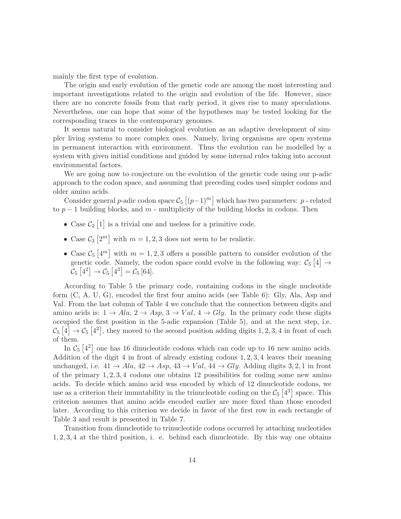mainly the first type of evolution.

The origin and early evolution of the genetic code are among the most interesting and important investigations related to the origin and evolution of the life. However, since there are no concrete fossils from that early period, it gives rise to many speculations. Nevertheless, one can hope that some of the hypotheses may be tested looking for the corresponding traces in the contemporary genomes.

It seems natural to consider biological evolution as an adaptive development of simpler living systems to more complex ones. Namely, living organisms are open systems in permanent interaction with environment. Thus the evolution can be modelled by a system with given initial conditions and guided by some internal rules taking into account environmental factors.

We are going now to conjecture on the evolution of the genetic code using our p-adic approach to the codon space, and assuming that preceding codes used simpler codons and older amino acids.

Consider general p-adic codon space  $\mathcal{C}_5 \left[ (p-1)^m \right]$  which has two parameters: p - related to  $p-1$  building blocks, and  $m$  - multiplicity of the building blocks in codons. Then

- Case  $\mathcal{C}_2$  [1] is a trivial one and useless for a primitive code.
- Case  $C_3[2^m]$  with  $m=1,2,3$  does not seem to be realistic.
- Case  $\mathcal{C}_5\left[4^m\right]$  with  $m=1,2,3$  offers a possible pattern to consider evolution of the genetic code. Namely, the codon space could evolve in the following way:  $\mathcal{C}_5$  [4]  $\rightarrow$  $\widetilde{\mathcal{C}}_5\left[4^2\right] \to \mathcal{C}_5\left[4^3\right] = \widetilde{\mathcal{C}}_5\left[64\right].$

According to Table 5 the primary code, containing codons in the single nucleotide form (C, A, U, G), encoded the first four amino acids (see Table 6): Gly, Ala, Asp and Val. From the last column of Table 4 we conclude that the connection between digits and amino acids is:  $1 \rightarrow Ala, 2 \rightarrow Asp, 3 \rightarrow Val, 4 \rightarrow Gly$ . In the primary code these digits occupied the first position in the 5-adic expansion (Table 5), and at the next step, i.e.  $\mathcal{C}_5\left[4\right] \rightarrow \mathcal{C}_5\left[4^2\right]$ , they moved to the second position adding digits 1, 2, 3, 4 in front of each of them.

In  $\mathcal{C}_5$  [4<sup>2</sup>] one has 16 dinucleotide codons which can code up to 16 new amino acids. Addition of the digit 4 in front of already existing codons 1, 2, 3, 4 leaves their meaning unchanged, i.e.  $41 \rightarrow Ala$ ,  $42 \rightarrow Asp$ ,  $43 \rightarrow Val$ ,  $44 \rightarrow Gly$ . Adding digits 3, 2, 1 in front of the primary  $1, 2, 3, 4$  codons one obtains 12 possibilities for coding some new amino acids. To decide which amino acid was encoded by which of 12 dinucleotide codons, we use as a criterion their immutability in the trinucleotide coding on the  $\mathcal{C}_5$  [4<sup>3</sup>] space. This criterion assumes that amino acids encoded earlier are more fixed than those encoded later. According to this criterion we decide in favor of the first row in each rectangle of Table 3 and result is presented in Table 7.

Transition from dinucleotide to trinucleotide codons occurred by attaching nucleotides 1, 2, 3, 4 at the third position, i. e. behind each dinucleotide. By this way one obtains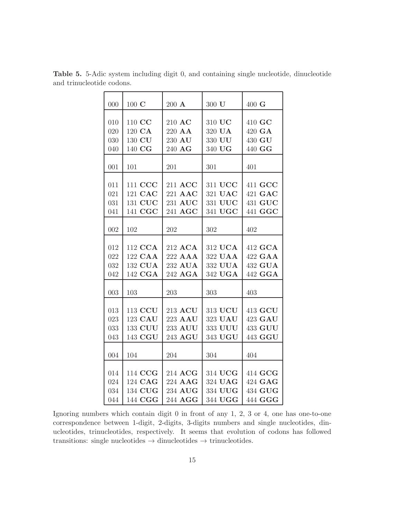| 000 | $100 \text{ C}$ | $200 \text{ A}$ | 300 U   | $400 \text{ G}$ |
|-----|-----------------|-----------------|---------|-----------------|
|     |                 |                 |         |                 |
| 010 | 110 CC          | $210$ AC        | 310 UC  | 410 GC          |
| 020 | 120 CA          | 220 AA          | 320 UA  | 420 GA          |
| 030 | 130 CU          | 230 AU          | 330 UU  | 430 GU          |
| 040 | 140 CG          | 240 AG          | 340 UG  | 440 GG          |
|     |                 |                 |         |                 |
| 001 | 101             | 201             | 301     | 401             |
|     |                 |                 |         |                 |
| 011 | 111 CCC         | 211 ACC         | 311 UCC | 411 GCC         |
| 021 | 121 CAC         | 221 AAC         | 321 UAC | 421 GAC         |
| 031 | 131 CUC         | 231 AUC         | 331 UUC | 431 GUC         |
| 041 | 141 CGC         | 241 AGC         | 341 UGC | 441 GGC         |
|     |                 |                 |         |                 |
| 002 | 102             | 202             | 302     | 402             |
|     |                 |                 |         |                 |
| 012 | 112 CCA         | 212 ACA         | 312 UCA | 412 GCA         |
| 022 | 122 CAA         | 222 AAA         | 322 UAA | 422 GAA         |
| 032 | 132 CUA         | 232 AUA         | 332 UUA | 432 GUA         |
| 042 | 142 CGA         | 242 AGA         | 342 UGA | 442 GGA         |
|     |                 |                 |         |                 |
| 003 | 103             | 203             | 303     | 403             |
|     |                 |                 |         |                 |
| 013 | 113 CCU         | 213 ACU         | 313 UCU | 413 GCU         |
| 023 | 123 CAU         | 223 AAU         | 323 UAU | 423 GAU         |
| 033 | 133 CUU         | 233 AUU         | 333 UUU | 433 GUU         |
| 043 | 143 CGU         | 243 AGU         | 343 UGU | 443 GGU         |
|     |                 |                 |         |                 |
| 004 | 104             | 204             | 304     | 404             |
|     |                 |                 |         |                 |
| 014 | 114 CCG         | 214 ACG         | 314 UCG | 414 GCG         |
| 024 | 124 CAG         | 224 AAG         | 324 UAG | 424 GAG         |
| 034 | 134 CUG         | 234 AUG         | 334 UUG | 434 GUG         |
| 044 | 144 CGG         | 244 AGG         | 344 UGG | 444 GGG         |

Table 5. 5-Adic system including digit 0, and containing single nucleotide, dinucleotide and trinucleotide codons.

Ignoring numbers which contain digit 0 in front of any 1, 2, 3 or 4, one has one-to-one correspondence between 1-digit, 2-digits, 3-digits numbers and single nucleotides, dinucleotides, trinucleotides, respectively. It seems that evolution of codons has followed transitions: single nucleotides  $\rightarrow$  dinucleotides  $\rightarrow$  trinucleotides.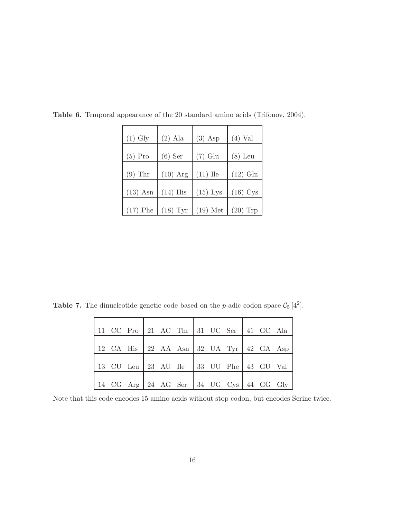| $(1)$ Gly  | $(2)$ Ala  | $(3)$ Asp  | $(4)$ Val  |
|------------|------------|------------|------------|
|            |            |            |            |
| $(5)$ Pro  | $(6)$ Ser  | $(7)$ Glu  | $(8)$ Leu  |
|            |            |            |            |
| $(9)$ Thr  | $(10)$ Arg | $(11)$ Ile | $(12)$ Gln |
|            |            |            |            |
| $(13)$ Asn | $(14)$ His | $(15)$ Lys | $(16)$ Cys |
|            |            |            |            |
| $(17)$ Phe | $(18)$ Tyr | $(19)$ Met | $(20)$ Trp |

Table 6. Temporal appearance of the 20 standard amino acids (Trifonov, 2004).

**Table 7.** The dinucleotide genetic code based on the *p*-adic codon space  $C_5[4^2]$ .

|  |  | 11 CC Pro 21 AC Thr 31 UC Ser 41 GC Ala |  |  |  |
|--|--|-----------------------------------------|--|--|--|
|  |  | 12 CA His 22 AA Asn 32 UA Tyr 42 GA Asp |  |  |  |
|  |  | 13 CU Leu 23 AU Ile 33 UU Phe 43 GU Val |  |  |  |
|  |  | 14 CG Arg 24 AG Ser 34 UG Cys 44 GG Gly |  |  |  |

Note that this code encodes 15 amino acids without stop codon, but encodes Serine twice.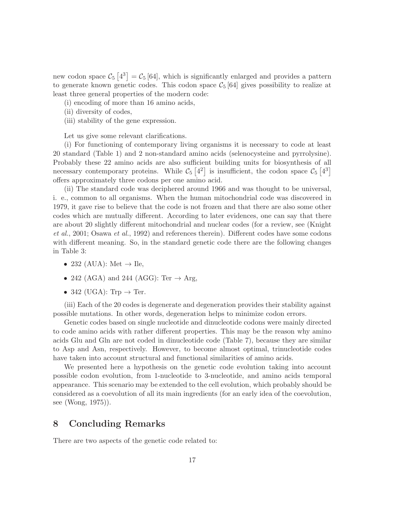new codon space  $\mathcal{C}_5$  [4<sup>3</sup>] =  $\mathcal{C}_5$  [64], which is significantly enlarged and provides a pattern to generate known genetic codes. This codon space  $C_5$  [64] gives possibility to realize at least three general properties of the modern code:

(i) encoding of more than 16 amino acids,

- (ii) diversity of codes,
- (iii) stability of the gene expression.

Let us give some relevant clarifications.

(i) For functioning of contemporary living organisms it is necessary to code at least 20 standard (Table 1) and 2 non-standard amino acids (selenocysteine and pyrrolysine). Probably these 22 amino acids are also sufficient building units for biosynthesis of all necessary contemporary proteins. While  $\mathcal{C}_5[4^2]$  is insufficient, the codon space  $\mathcal{C}_5[4^3]$ offers approximately three codons per one amino acid.

(ii) The standard code was deciphered around 1966 and was thought to be universal, i. e., common to all organisms. When the human mitochondrial code was discovered in 1979, it gave rise to believe that the code is not frozen and that there are also some other codes which are mutually different. According to later evidences, one can say that there are about 20 slightly different mitochondrial and nuclear codes (for a review, see (Knight et al., 2001; Osawa et al., 1992) and references therein). Different codes have some codons with different meaning. So, in the standard genetic code there are the following changes in Table 3:

- 232 (AUA): Met  $\rightarrow$  Ile,
- 242 (AGA) and 244 (AGG): Ter  $\rightarrow$  Arg,
- 342 (UGA): Trp  $\rightarrow$  Ter.

(iii) Each of the 20 codes is degenerate and degeneration provides their stability against possible mutations. In other words, degeneration helps to minimize codon errors.

Genetic codes based on single nucleotide and dinucleotide codons were mainly directed to code amino acids with rather different properties. This may be the reason why amino acids Glu and Gln are not coded in dinucleotide code (Table 7), because they are similar to Asp and Asn, respectively. However, to become almost optimal, trinucleotide codes have taken into account structural and functional similarities of amino acids.

We presented here a hypothesis on the genetic code evolution taking into account possible codon evolution, from 1-nucleotide to 3-nucleotide, and amino acids temporal appearance. This scenario may be extended to the cell evolution, which probably should be considered as a coevolution of all its main ingredients (for an early idea of the coevolution, see (Wong, 1975)).

# 8 Concluding Remarks

There are two aspects of the genetic code related to: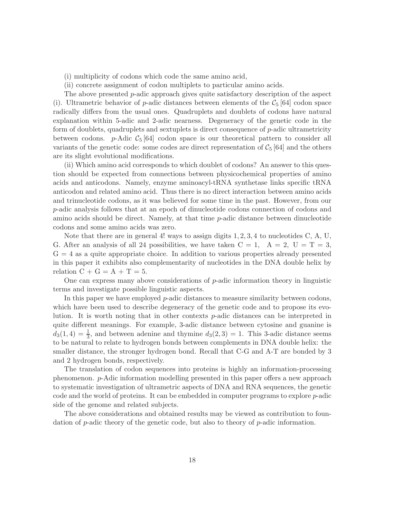- (i) multiplicity of codons which code the same amino acid,
- (ii) concrete assignment of codon multiplets to particular amino acids.

The above presented p-adic approach gives quite satisfactory description of the aspect (i). Ultrametric behavior of p-adic distances between elements of the  $\mathcal{C}_5$  [64] codon space radically differs from the usual ones. Quadruplets and doublets of codons have natural explanation within 5-adic and 2-adic nearness. Degeneracy of the genetic code in the form of doublets, quadruplets and sextuplets is direct consequence of p-adic ultrametricity between codons. p-Adic  $C_5$  [64] codon space is our theoretical pattern to consider all variants of the genetic code: some codes are direct representation of  $C_5$  [64] and the others are its slight evolutional modifications.

(ii) Which amino acid corresponds to which doublet of codons? An answer to this question should be expected from connections between physicochemical properties of amino acids and anticodons. Namely, enzyme aminoacyl-tRNA synthetase links specific tRNA anticodon and related amino acid. Thus there is no direct interaction between amino acids and trinucleotide codons, as it was believed for some time in the past. However, from our p-adic analysis follows that at an epoch of dinucleotide codons connection of codons and amino acids should be direct. Namely, at that time  $p$ -adic distance between dinucleotide codons and some amino acids was zero.

Note that there are in general 4! ways to assign digits  $1, 2, 3, 4$  to nucleotides C, A, U, G. After an analysis of all 24 possibilities, we have taken  $C = 1$ ,  $A = 2$ ,  $U = T = 3$ ,  $G = 4$  as a quite appropriate choice. In addition to various properties already presented in this paper it exhibits also complementarity of nucleotides in the DNA double helix by relation  $C + G = A + T = 5$ .

One can express many above considerations of p-adic information theory in linguistic terms and investigate possible linguistic aspects.

In this paper we have employed  $p$ -adic distances to measure similarity between codons, which have been used to describe degeneracy of the genetic code and to propose its evolution. It is worth noting that in other contexts p-adic distances can be interpreted in quite different meanings. For example, 3-adic distance between cytosine and guanine is  $d_3(1,4) = \frac{1}{3}$ , and between adenine and thymine  $d_3(2,3) = 1$ . This 3-adic distance seems to be natural to relate to hydrogen bonds between complements in DNA double helix: the smaller distance, the stronger hydrogen bond. Recall that C-G and A-T are bonded by 3 and 2 hydrogen bonds, respectively.

The translation of codon sequences into proteins is highly an information-processing phenomenon. p-Adic information modelling presented in this paper offers a new approach to systematic investigation of ultrametric aspects of DNA and RNA sequences, the genetic code and the world of proteins. It can be embedded in computer programs to explore p-adic side of the genome and related subjects.

The above considerations and obtained results may be viewed as contribution to foundation of p-adic theory of the genetic code, but also to theory of p-adic information.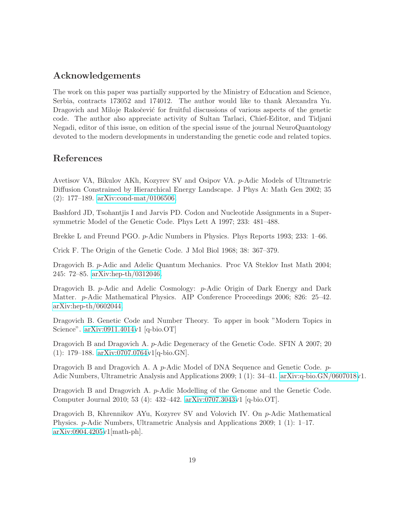# Acknowledgements

The work on this paper was partially supported by the Ministry of Education and Science, Serbia, contracts 173052 and 174012. The author would like to thank Alexandra Yu. Dragovich and Miloje Rakočević for fruitful discussions of various aspects of the genetic code. The author also appreciate activity of Sultan Tarlaci, Chief-Editor, and Tidjani Negadi, editor of this issue, on edition of the special issue of the journal NeuroQuantology devoted to the modern developments in understanding the genetic code and related topics.

### References

Avetisov VA, Bikulov AKh, Kozyrev SV and Osipov VA. p-Adic Models of Ultrametric Diffusion Constrained by Hierarchical Energy Landscape. J Phys A: Math Gen 2002; 35 (2): 177–189. [arXiv:cond-mat/0106506.](http://arxiv.org/abs/cond-mat/0106506)

Bashford JD, Tsohantjis I and Jarvis PD. Codon and Nucleotide Assignments in a Supersymmetric Model of the Genetic Code. Phys Lett A 1997; 233: 481–488.

Brekke L and Freund PGO. p-Adic Numbers in Physics. Phys Reports 1993; 233: 1–66.

Crick F. The Origin of the Genetic Code. J Mol Biol 1968; 38: 367–379.

Dragovich B. p-Adic and Adelic Quantum Mechanics. Proc VA Steklov Inst Math 2004; 245: 72–85. [arXiv:hep-th/0312046.](http://arxiv.org/abs/hep-th/0312046)

Dragovich B. p-Adic and Adelic Cosmology: p-Adic Origin of Dark Energy and Dark Matter. p-Adic Mathematical Physics. AIP Conference Proceedings 2006; 826: 25–42. [arXiv:hep-th/0602044.](http://arxiv.org/abs/hep-th/0602044)

Dragovich B. Genetic Code and Number Theory. To apper in book "Modern Topics in Science". [arXiv:0911.4014v](http://arxiv.org/abs/0911.4014)1 [q-bio.OT]

Dragovich B and Dragovich A. p-Adic Degeneracy of the Genetic Code. SFIN A 2007; 20 (1): 179–188. [arXiv:0707.0764v](http://arxiv.org/abs/0707.0764)1[q-bio.GN].

Dragovich B and Dragovich A. A p-Adic Model of DNA Sequence and Genetic Code. p-Adic Numbers, Ultrametric Analysis and Applications 2009; 1 (1): 34–41. [arXiv:q-bio.GN/0607018v](http://arxiv.org/abs/q-bio/0607018)1.

Dragovich B and Dragovich A. p-Adic Modelling of the Genome and the Genetic Code. Computer Journal 2010; 53 (4): 432–442. [arXiv:0707.3043v](http://arxiv.org/abs/0707.3043)1 [q-bio.OT].

Dragovich B, Khrennikov AYu, Kozyrev SV and Volovich IV. On p-Adic Mathematical Physics. p-Adic Numbers, Ultrametric Analysis and Applications 2009; 1 (1): 1–17. [arXiv:0904.4205v](http://arxiv.org/abs/0904.4205)1[math-ph].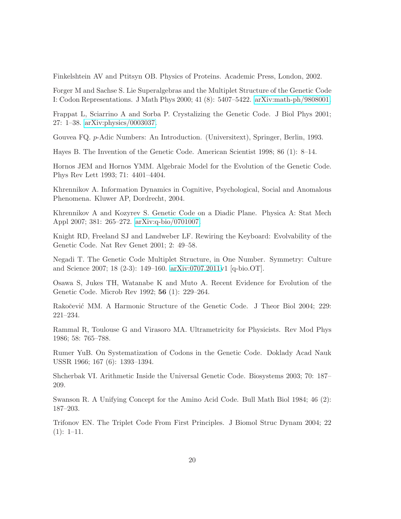Finkelshtein AV and Ptitsyn OB. Physics of Proteins. Academic Press, London, 2002.

Forger M and Sachse S. Lie Superalgebras and the Multiplet Structure of the Genetic Code I: Codon Representations. J Math Phys 2000; 41 (8): 5407–5422. [arXiv:math-ph/9808001.](http://arxiv.org/abs/math-ph/9808001)

Frappat L, Sciarrino A and Sorba P. Crystalizing the Genetic Code. J Biol Phys 2001; 27: 1–38. [arXiv:physics/0003037.](http://arxiv.org/abs/physics/0003037)

Gouvea FQ. p-Adic Numbers: An Introduction. (Universitext), Springer, Berlin, 1993.

Hayes B. The Invention of the Genetic Code. American Scientist 1998; 86 (1): 8–14.

Hornos JEM and Hornos YMM. Algebraic Model for the Evolution of the Genetic Code. Phys Rev Lett 1993; 71: 4401–4404.

Khrennikov A. Information Dynamics in Cognitive, Psychological, Social and Anomalous Phenomena. Kluwer AP, Dordrecht, 2004.

Khrennikov A and Kozyrev S. Genetic Code on a Diadic Plane. Physica A: Stat Mech Appl 2007; 381: 265–272. [arXiv:q-bio/0701007.](http://arxiv.org/abs/q-bio/0701007)

Knight RD, Freeland SJ and Landweber LF. Rewiring the Keyboard: Evolvability of the Genetic Code. Nat Rev Genet 2001; 2: 49–58.

Negadi T. The Genetic Code Multiplet Structure, in One Number. Symmetry: Culture and Science 2007; 18 (2-3): 149–160. [arXiv:0707.2011v](http://arxiv.org/abs/0707.2011)1 [q-bio.OT].

Osawa S, Jukes TH, Watanabe K and Muto A. Recent Evidence for Evolution of the Genetic Code. Microb Rev 1992; 56 (1): 229–264.

Rakočević MM. A Harmonic Structure of the Genetic Code. J Theor Biol 2004; 229: 221–234.

Rammal R, Toulouse G and Virasoro MA. Ultrametricity for Physicists. Rev Mod Phys 1986; 58: 765–788.

Rumer YuB. On Systematization of Codons in the Genetic Code. Doklady Acad Nauk USSR 1966; 167 (6): 1393–1394.

Shcherbak VI. Arithmetic Inside the Universal Genetic Code. Biosystems 2003; 70: 187– 209.

Swanson R. A Unifying Concept for the Amino Acid Code. Bull Math Biol 1984; 46 (2): 187–203.

Trifonov EN. The Triplet Code From First Principles. J Biomol Struc Dynam 2004; 22  $(1): 1-11.$